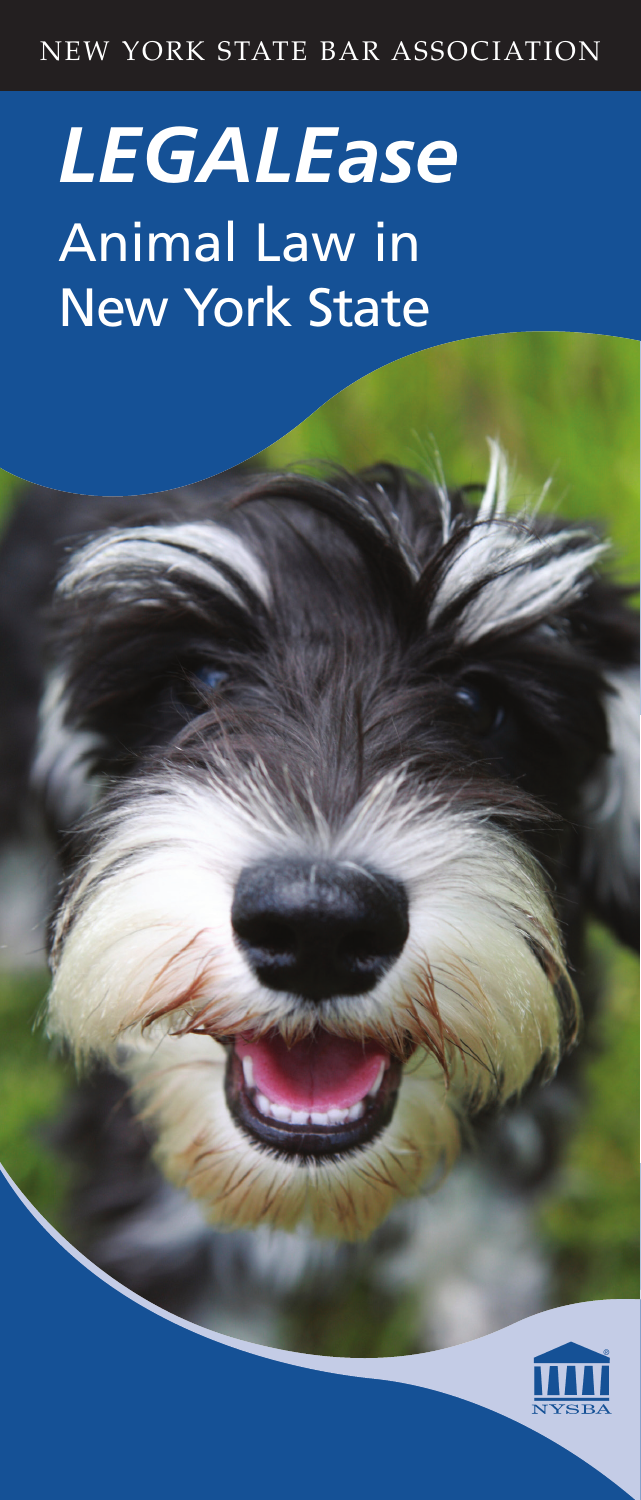# NEW YORK STATE BAR ASSOCIATION

# *LEGALEase* Animal Law in New York State



New York State Bar Association | 1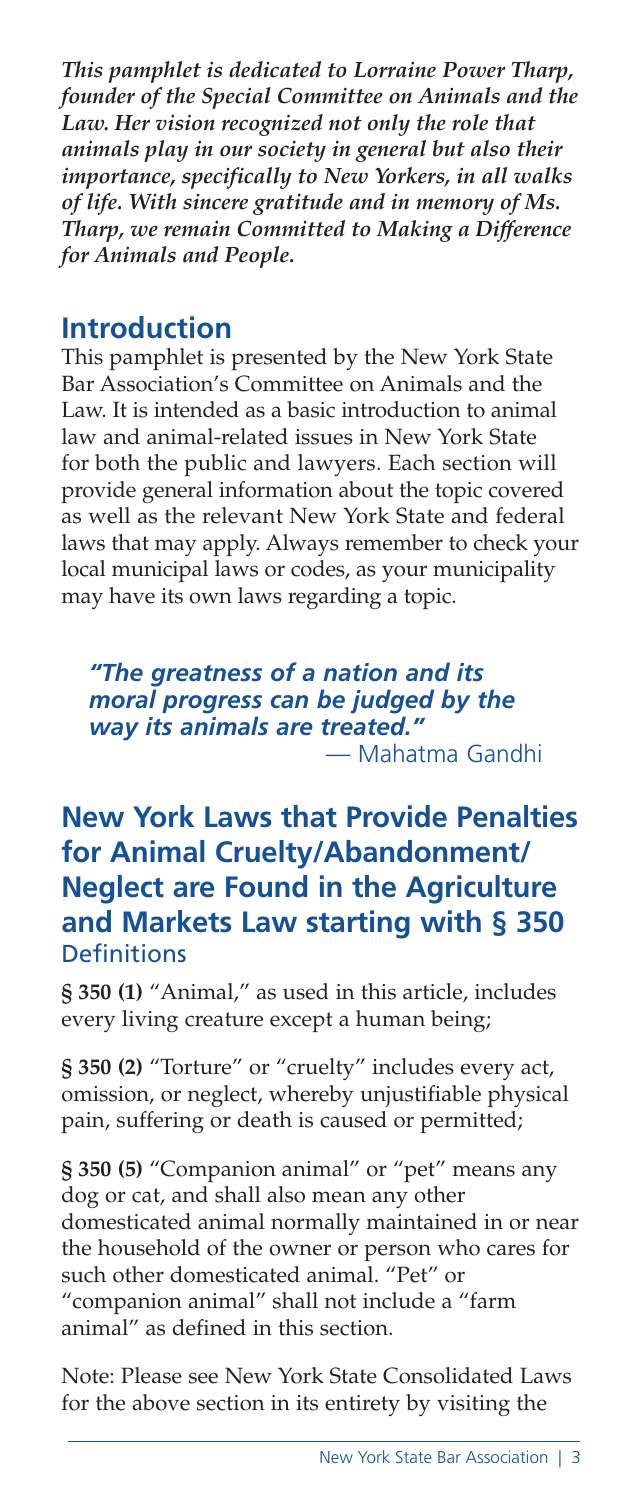*This pamphlet is dedicated to Lorraine Power Tharp, founder of the Special Committee on Animals and the Law. Her vision recognized not only the role that animals play in our society in general but also their importance, specifically to New Yorkers, in all walks of life. With sincere gratitude and in memory of Ms. Tharp, we remain Committed to Making a Difference for Animals and People.* 

#### **Introduction**

This pamphlet is presented by the New York State Bar Association's Committee on Animals and the Law. It is intended as a basic introduction to animal law and animal-related issues in New York State for both the public and lawyers. Each section will provide general information about the topic covered as well as the relevant New York State and federal laws that may apply. Always remember to check your local municipal laws or codes, as your municipality may have its own laws regarding a topic.

*"The greatness of a nation and its moral progress can be judged by the way its animals are treated."* — Mahatma Gandhi

# **New York Laws that Provide Penalties for Animal Cruelty/Abandonment/ Neglect are Found in the Agriculture and Markets Law starting with § 350 Definitions**

**§ 350 (1)** "Animal," as used in this article, includes every living creature except a human being;

**§ 350 (2)** "Torture" or "cruelty" includes every act, omission, or neglect, whereby unjustifiable physical pain, suffering or death is caused or permitted;

**§ 350 (5)** "Companion animal" or "pet" means any dog or cat, and shall also mean any other domesticated animal normally maintained in or near the household of the owner or person who cares for such other domesticated animal. "Pet" or "companion animal" shall not include a "farm animal" as defined in this section.

Note: Please see New York State Consolidated Laws for the above section in its entirety by visiting the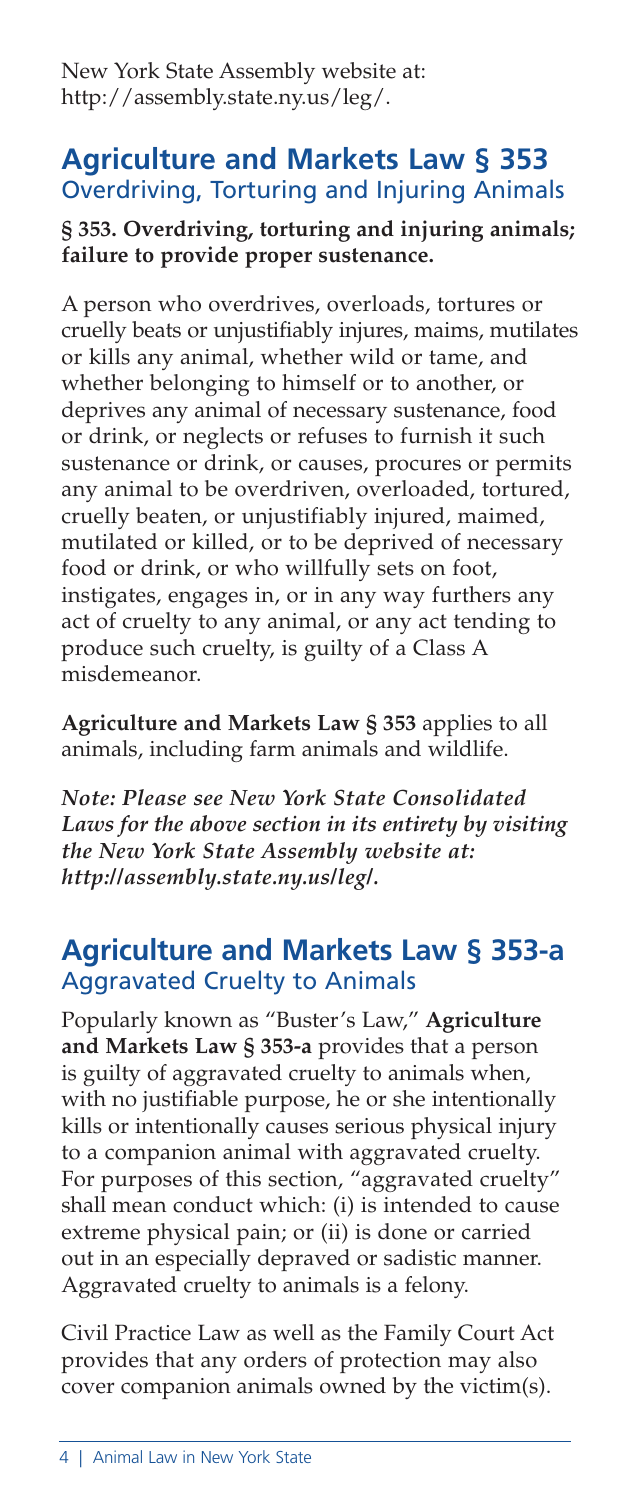New York State Assembly website at: http://assembly.state.ny.us/leg/.

#### **Agriculture and Markets Law § 353**  Overdriving, Torturing and Injuring Animals

#### **§ 353. Overdriving, torturing and injuring animals; failure to provide proper sustenance.**

A person who overdrives, overloads, tortures or cruelly beats or unjustifiably injures, maims, mutilates or kills any animal, whether wild or tame, and whether belonging to himself or to another, or deprives any animal of necessary sustenance, food or drink, or neglects or refuses to furnish it such sustenance or drink, or causes, procures or permits any animal to be overdriven, overloaded, tortured, cruelly beaten, or unjustifiably injured, maimed, mutilated or killed, or to be deprived of necessary food or drink, or who willfully sets on foot, instigates, engages in, or in any way furthers any act of cruelty to any animal, or any act tending to produce such cruelty, is guilty of a Class A misdemeanor.

**Agriculture and Markets Law § 353** applies to all animals, including farm animals and wildlife.

*Note: Please see New York State Consolidated Laws for the above section in its entirety by visiting the New York State Assembly website at: http://assembly.state.ny.us/leg/.*

#### **Agriculture and Markets Law § 353-a**  Aggravated Cruelty to Animals

Popularly known as "Buster's Law," **Agriculture and Markets Law § 353-a** provides that a person is guilty of aggravated cruelty to animals when, with no justifiable purpose, he or she intentionally kills or intentionally causes serious physical injury to a companion animal with aggravated cruelty. For purposes of this section, "aggravated cruelty" shall mean conduct which: (i) is intended to cause extreme physical pain; or (ii) is done or carried out in an especially depraved or sadistic manner. Aggravated cruelty to animals is a felony.

Civil Practice Law as well as the Family Court Act provides that any orders of protection may also cover companion animals owned by the victim(s).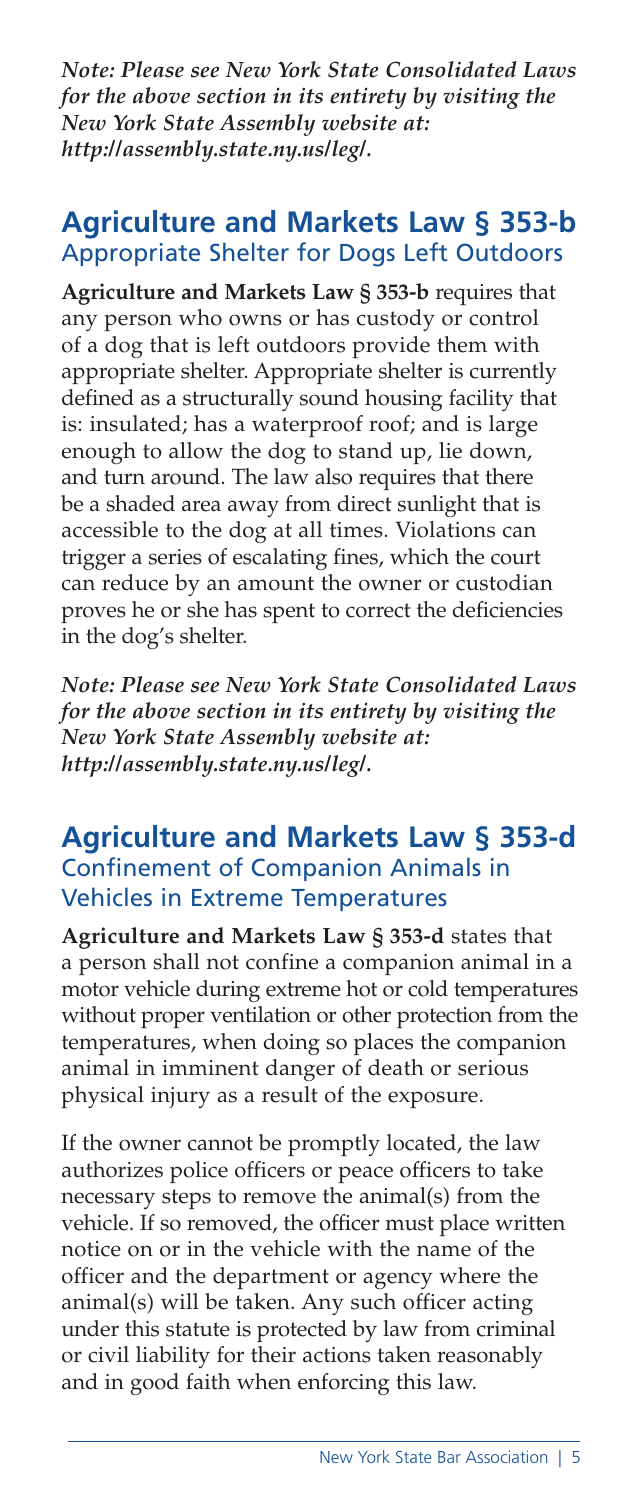*Note: Please see New York State Consolidated Laws for the above section in its entirety by visiting the New York State Assembly website at: http://assembly.state.ny.us/leg/.*

#### **Agriculture and Markets Law § 353-b**  Appropriate Shelter for Dogs Left Outdoors

**Agriculture and Markets Law § 353-b** requires that any person who owns or has custody or control of a dog that is left outdoors provide them with appropriate shelter. Appropriate shelter is currently defined as a structurally sound housing facility that is: insulated; has a waterproof roof; and is large enough to allow the dog to stand up, lie down, and turn around. The law also requires that there be a shaded area away from direct sunlight that is accessible to the dog at all times. Violations can trigger a series of escalating fines, which the court can reduce by an amount the owner or custodian proves he or she has spent to correct the deficiencies in the dog's shelter.

*Note: Please see New York State Consolidated Laws for the above section in its entirety by visiting the New York State Assembly website at: http://assembly.state.ny.us/leg/.*

#### **Agriculture and Markets Law § 353-d**  Confinement of Companion Animals in Vehicles in Extreme Temperatures

**Agriculture and Markets Law § 353-d** states that a person shall not confine a companion animal in a motor vehicle during extreme hot or cold temperatures without proper ventilation or other protection from the temperatures, when doing so places the companion animal in imminent danger of death or serious physical injury as a result of the exposure.

If the owner cannot be promptly located, the law authorizes police officers or peace officers to take necessary steps to remove the animal(s) from the vehicle. If so removed, the officer must place written notice on or in the vehicle with the name of the officer and the department or agency where the animal(s) will be taken. Any such officer acting under this statute is protected by law from criminal or civil liability for their actions taken reasonably and in good faith when enforcing this law.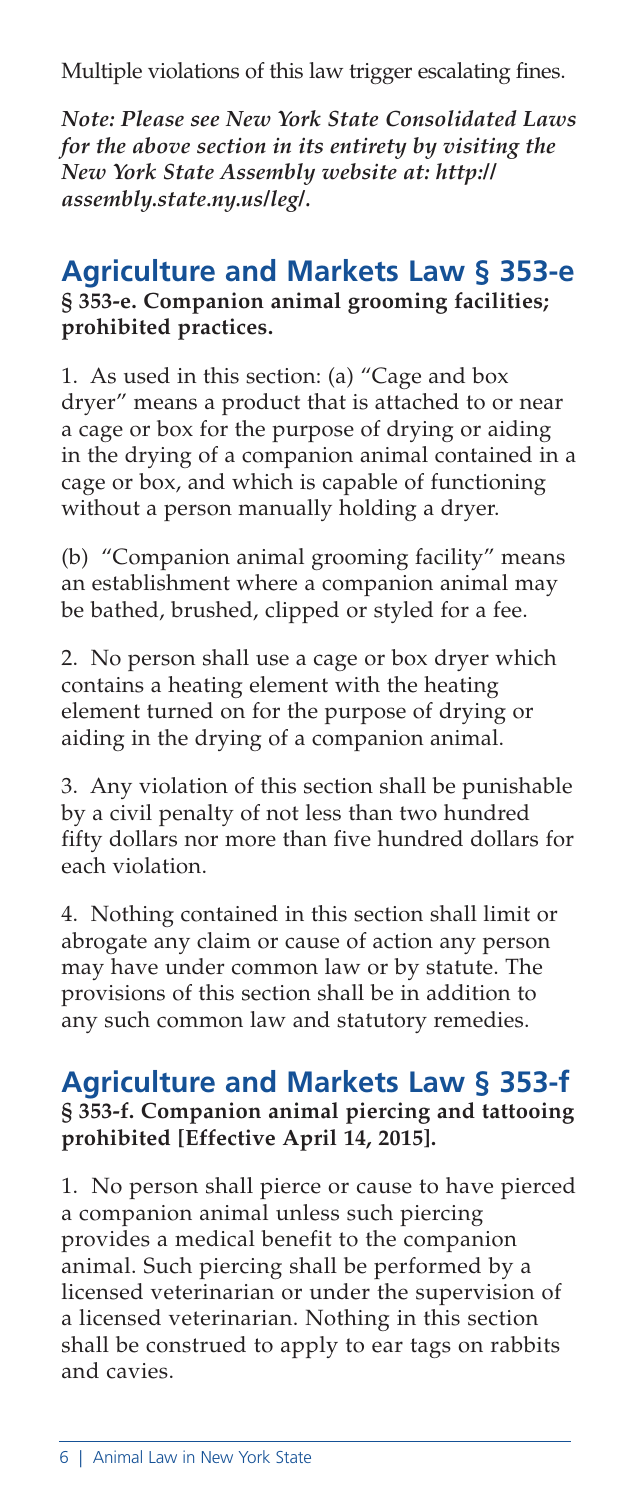Multiple violations of this law trigger escalating fines.

*Note: Please see New York State Consolidated Laws for the above section in its entirety by visiting the New York State Assembly website at: http:// assembly.state.ny.us/leg/.*

# **Agriculture and Markets Law § 353-e**

**§ 353-e. Companion animal grooming facilities; prohibited practices.**

1. As used in this section: (a) "Cage and box dryer" means a product that is attached to or near a cage or box for the purpose of drying or aiding in the drying of a companion animal contained in a cage or box, and which is capable of functioning without a person manually holding a dryer.

(b) "Companion animal grooming facility" means an establishment where a companion animal may be bathed, brushed, clipped or styled for a fee.

2. No person shall use a cage or box dryer which contains a heating element with the heating element turned on for the purpose of drying or aiding in the drying of a companion animal.

3. Any violation of this section shall be punishable by a civil penalty of not less than two hundred fifty dollars nor more than five hundred dollars for each violation.

4. Nothing contained in this section shall limit or abrogate any claim or cause of action any person may have under common law or by statute. The provisions of this section shall be in addition to any such common law and statutory remedies.

# **Agriculture and Markets Law § 353-f**

#### **§ 353-f. Companion animal piercing and tattooing prohibited [Effective April 14, 2015].**

1. No person shall pierce or cause to have pierced a companion animal unless such piercing provides a medical benefit to the companion animal. Such piercing shall be performed by a licensed veterinarian or under the supervision of a licensed veterinarian. Nothing in this section shall be construed to apply to ear tags on rabbits and cavies.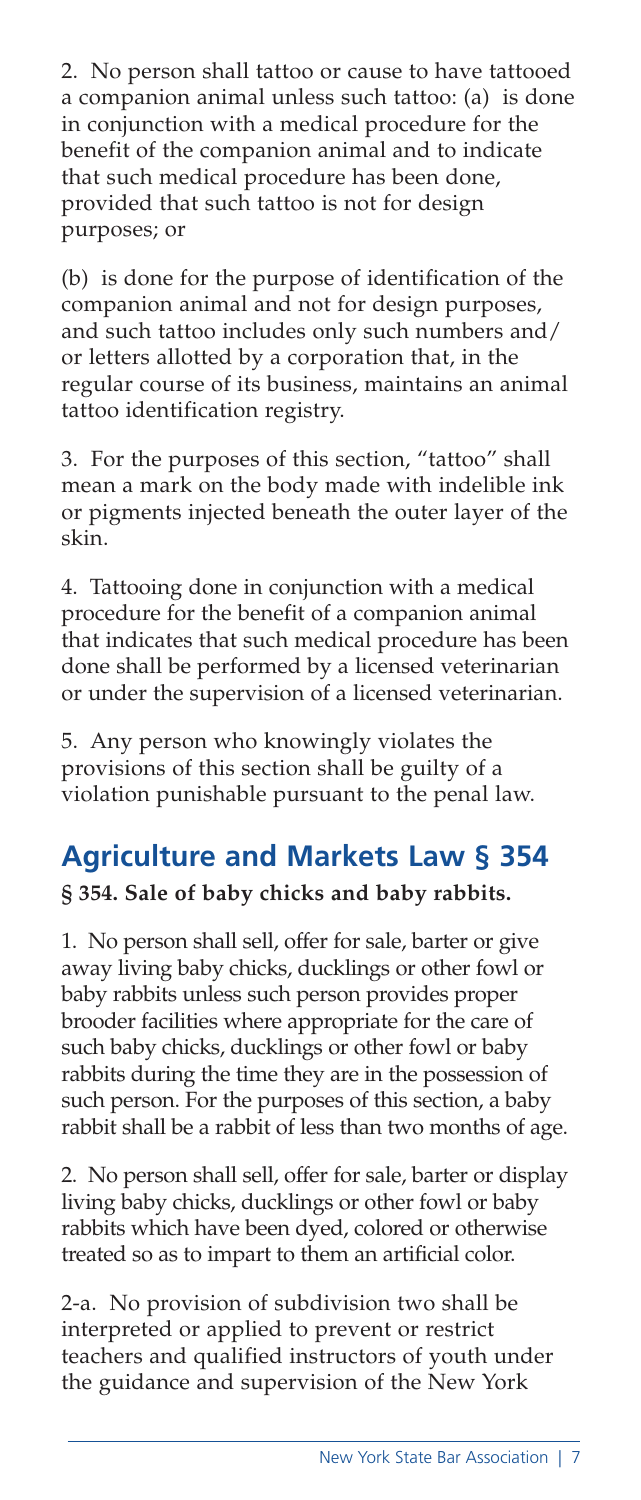2. No person shall tattoo or cause to have tattooed a companion animal unless such tattoo: (a) is done in conjunction with a medical procedure for the benefit of the companion animal and to indicate that such medical procedure has been done, provided that such tattoo is not for design purposes; or

(b) is done for the purpose of identification of the companion animal and not for design purposes, and such tattoo includes only such numbers and/ or letters allotted by a corporation that, in the regular course of its business, maintains an animal tattoo identification registry.

3. For the purposes of this section, "tattoo" shall mean a mark on the body made with indelible ink or pigments injected beneath the outer layer of the skin.

4. Tattooing done in conjunction with a medical procedure for the benefit of a companion animal that indicates that such medical procedure has been done shall be performed by a licensed veterinarian or under the supervision of a licensed veterinarian.

5. Any person who knowingly violates the provisions of this section shall be guilty of a violation punishable pursuant to the penal law.

# **Agriculture and Markets Law § 354**

#### **§ 354. Sale of baby chicks and baby rabbits.**

1. No person shall sell, offer for sale, barter or give away living baby chicks, ducklings or other fowl or baby rabbits unless such person provides proper brooder facilities where appropriate for the care of such baby chicks, ducklings or other fowl or baby rabbits during the time they are in the possession of such person. For the purposes of this section, a baby rabbit shall be a rabbit of less than two months of age.

2. No person shall sell, offer for sale, barter or display living baby chicks, ducklings or other fowl or baby rabbits which have been dyed, colored or otherwise treated so as to impart to them an artificial color.

2-a. No provision of subdivision two shall be interpreted or applied to prevent or restrict teachers and qualified instructors of youth under the guidance and supervision of the New York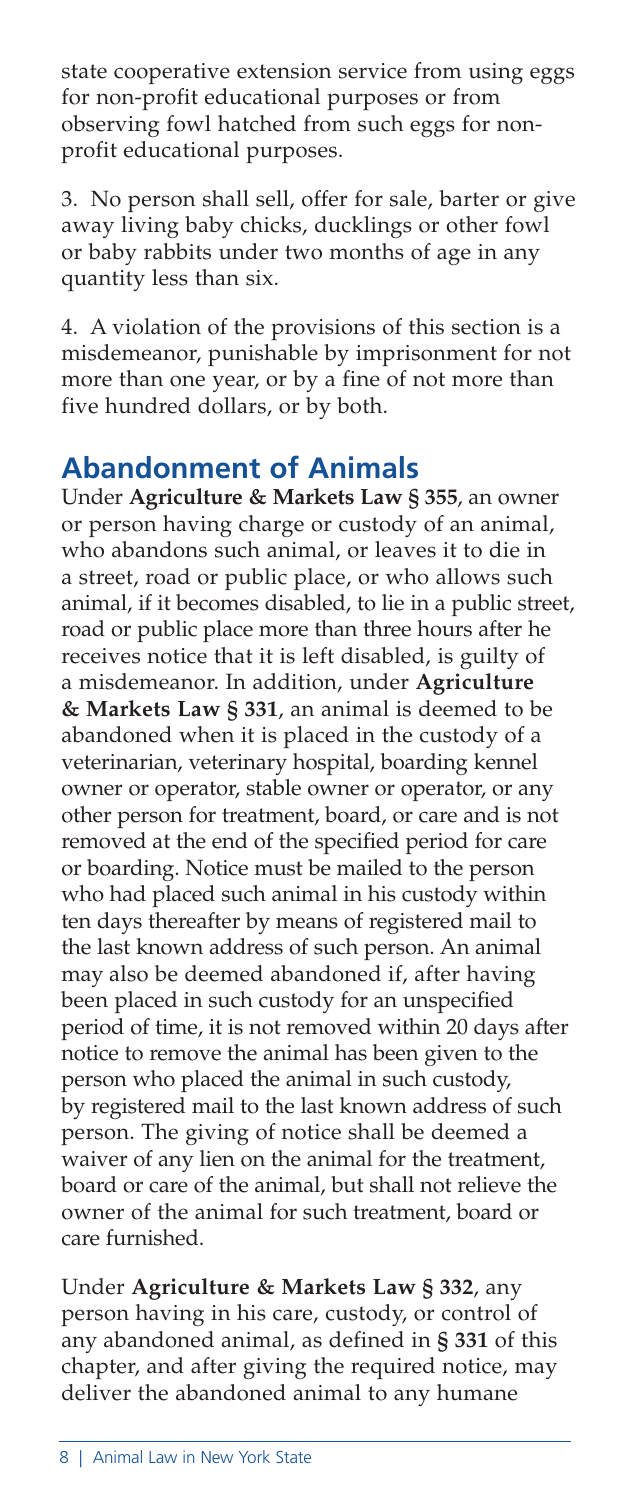state cooperative extension service from using eggs for non-profit educational purposes or from observing fowl hatched from such eggs for nonprofit educational purposes.

3. No person shall sell, offer for sale, barter or give away living baby chicks, ducklings or other fowl or baby rabbits under two months of age in any quantity less than six.

4. A violation of the provisions of this section is a misdemeanor, punishable by imprisonment for not more than one year, or by a fine of not more than five hundred dollars, or by both.

## **Abandonment of Animals**

Under **Agriculture & Markets Law § 355**, an owner or person having charge or custody of an animal, who abandons such animal, or leaves it to die in a street, road or public place, or who allows such animal, if it becomes disabled, to lie in a public street, road or public place more than three hours after he receives notice that it is left disabled, is guilty of a misdemeanor. In addition, under **Agriculture & Markets Law § 331**, an animal is deemed to be abandoned when it is placed in the custody of a veterinarian, veterinary hospital, boarding kennel owner or operator, stable owner or operator, or any other person for treatment, board, or care and is not removed at the end of the specified period for care or boarding. Notice must be mailed to the person who had placed such animal in his custody within ten days thereafter by means of registered mail to the last known address of such person. An animal may also be deemed abandoned if, after having been placed in such custody for an unspecified period of time, it is not removed within 20 days after notice to remove the animal has been given to the person who placed the animal in such custody, by registered mail to the last known address of such person. The giving of notice shall be deemed a waiver of any lien on the animal for the treatment, board or care of the animal, but shall not relieve the owner of the animal for such treatment, board or care furnished.

Under **Agriculture & Markets Law § 332**, any person having in his care, custody, or control of any abandoned animal, as defined in **§ 331** of this chapter, and after giving the required notice, may deliver the abandoned animal to any humane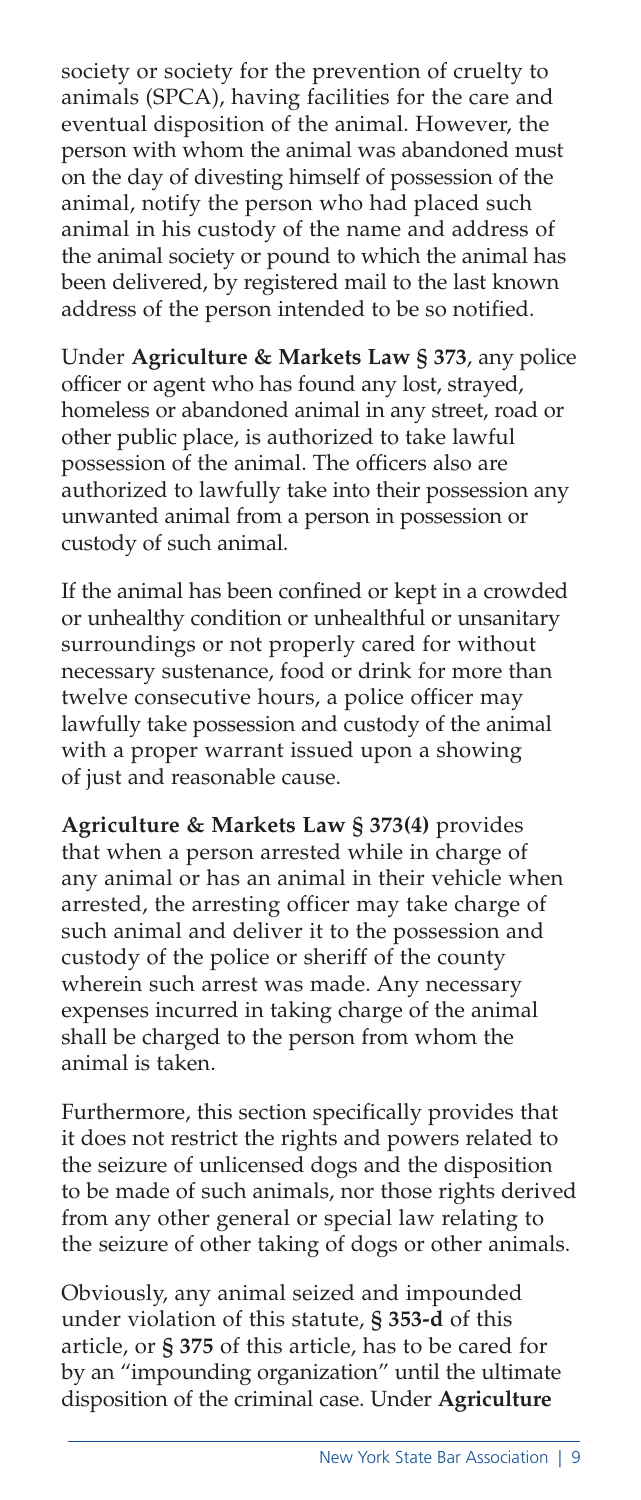society or society for the prevention of cruelty to animals (SPCA), having facilities for the care and eventual disposition of the animal. However, the person with whom the animal was abandoned must on the day of divesting himself of possession of the animal, notify the person who had placed such animal in his custody of the name and address of the animal society or pound to which the animal has been delivered, by registered mail to the last known address of the person intended to be so notified.

Under **Agriculture & Markets Law § 373**, any police officer or agent who has found any lost, strayed, homeless or abandoned animal in any street, road or other public place, is authorized to take lawful possession of the animal. The officers also are authorized to lawfully take into their possession any unwanted animal from a person in possession or custody of such animal.

If the animal has been confined or kept in a crowded or unhealthy condition or unhealthful or unsanitary surroundings or not properly cared for without necessary sustenance, food or drink for more than twelve consecutive hours, a police officer may lawfully take possession and custody of the animal with a proper warrant issued upon a showing of just and reasonable cause.

**Agriculture & Markets Law § 373(4)** provides that when a person arrested while in charge of any animal or has an animal in their vehicle when arrested, the arresting officer may take charge of such animal and deliver it to the possession and custody of the police or sheriff of the county wherein such arrest was made. Any necessary expenses incurred in taking charge of the animal shall be charged to the person from whom the animal is taken.

Furthermore, this section specifically provides that it does not restrict the rights and powers related to the seizure of unlicensed dogs and the disposition to be made of such animals, nor those rights derived from any other general or special law relating to the seizure of other taking of dogs or other animals.

Obviously, any animal seized and impounded under violation of this statute, **§ 353-d** of this article, or **§ 375** of this article, has to be cared for by an "impounding organization" until the ultimate disposition of the criminal case. Under **Agriculture**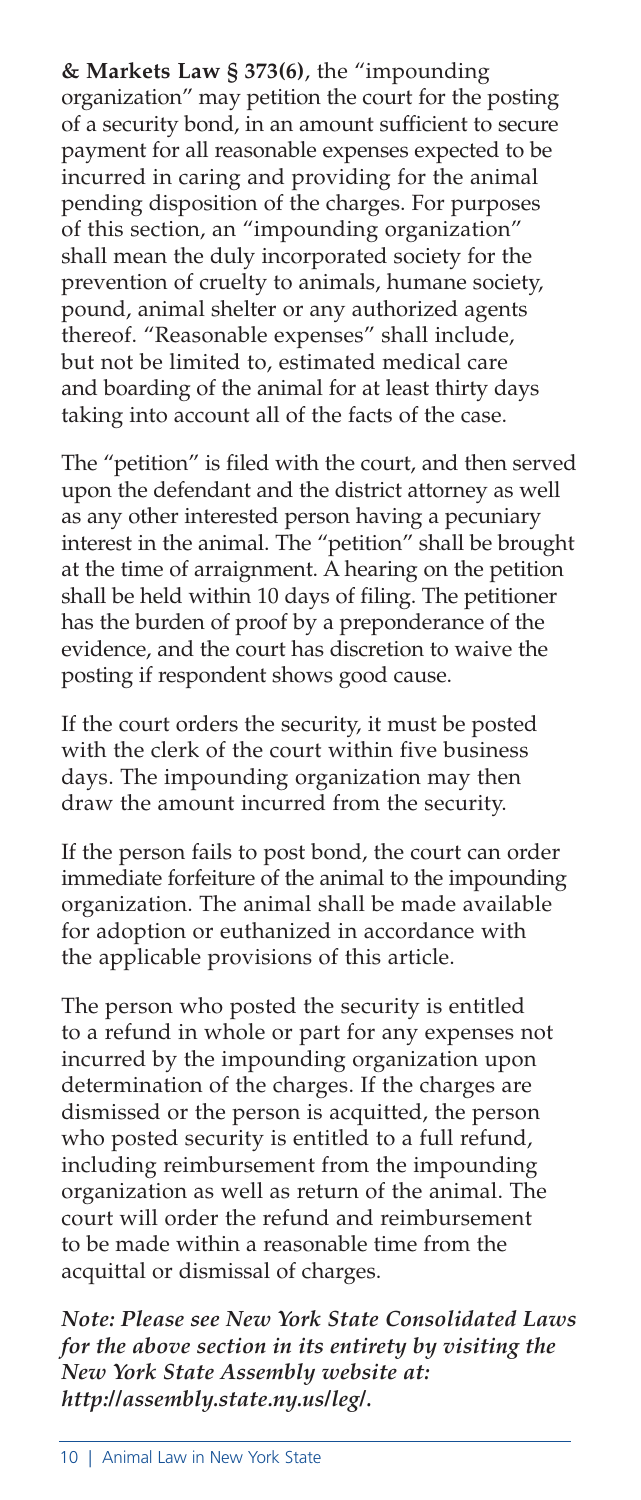**& Markets Law § 373(6)**, the "impounding organization" may petition the court for the posting of a security bond, in an amount sufficient to secure payment for all reasonable expenses expected to be incurred in caring and providing for the animal pending disposition of the charges. For purposes of this section, an "impounding organization" shall mean the duly incorporated society for the prevention of cruelty to animals, humane society, pound, animal shelter or any authorized agents thereof. "Reasonable expenses" shall include, but not be limited to, estimated medical care and boarding of the animal for at least thirty days taking into account all of the facts of the case.

The "petition" is filed with the court, and then served upon the defendant and the district attorney as well as any other interested person having a pecuniary interest in the animal. The "petition" shall be brought at the time of arraignment. A hearing on the petition shall be held within 10 days of filing. The petitioner has the burden of proof by a preponderance of the evidence, and the court has discretion to waive the posting if respondent shows good cause.

If the court orders the security, it must be posted with the clerk of the court within five business days. The impounding organization may then draw the amount incurred from the security.

If the person fails to post bond, the court can order immediate forfeiture of the animal to the impounding organization. The animal shall be made available for adoption or euthanized in accordance with the applicable provisions of this article.

The person who posted the security is entitled to a refund in whole or part for any expenses not incurred by the impounding organization upon determination of the charges. If the charges are dismissed or the person is acquitted, the person who posted security is entitled to a full refund, including reimbursement from the impounding organization as well as return of the animal. The court will order the refund and reimbursement to be made within a reasonable time from the acquittal or dismissal of charges.

*Note: Please see New York State Consolidated Laws for the above section in its entirety by visiting the New York State Assembly website at: http://assembly.state.ny.us/leg/.*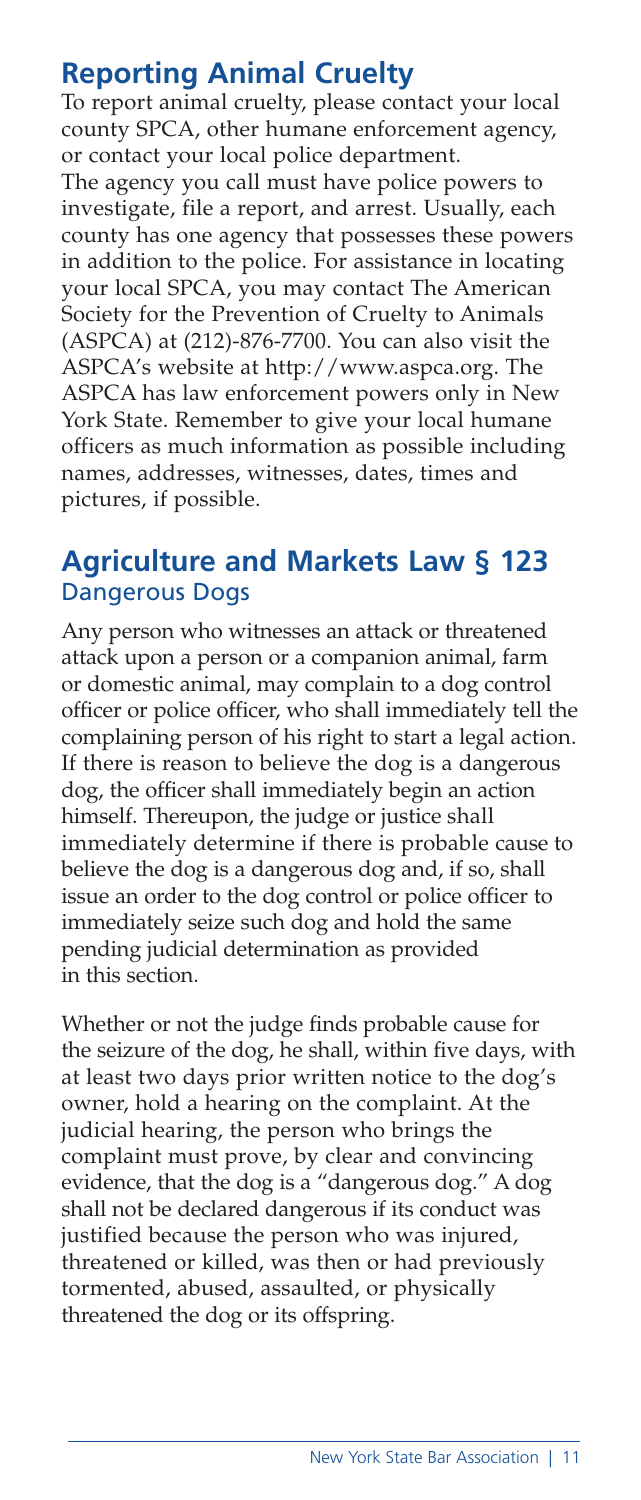#### **Reporting Animal Cruelty**

To report animal cruelty, please contact your local county SPCA, other humane enforcement agency, or contact your local police department.

The agency you call must have police powers to investigate, file a report, and arrest. Usually, each county has one agency that possesses these powers in addition to the police. For assistance in locating your local SPCA, you may contact The American Society for the Prevention of Cruelty to Animals (ASPCA) at (212)-876-7700. You can also visit the ASPCA's website at http://www.aspca.org. The ASPCA has law enforcement powers only in New York State. Remember to give your local humane officers as much information as possible including names, addresses, witnesses, dates, times and pictures, if possible.

#### **Agriculture and Markets Law § 123**  Dangerous Dogs

Any person who witnesses an attack or threatened attack upon a person or a companion animal, farm or domestic animal, may complain to a dog control officer or police officer, who shall immediately tell the complaining person of his right to start a legal action. If there is reason to believe the dog is a dangerous dog, the officer shall immediately begin an action himself. Thereupon, the judge or justice shall immediately determine if there is probable cause to believe the dog is a dangerous dog and, if so, shall issue an order to the dog control or police officer to immediately seize such dog and hold the same pending judicial determination as provided in this section.

Whether or not the judge finds probable cause for the seizure of the dog, he shall, within five days, with at least two days prior written notice to the dog's owner, hold a hearing on the complaint. At the judicial hearing, the person who brings the complaint must prove, by clear and convincing evidence, that the dog is a "dangerous dog." A dog shall not be declared dangerous if its conduct was justified because the person who was injured, threatened or killed, was then or had previously tormented, abused, assaulted, or physically threatened the dog or its offspring.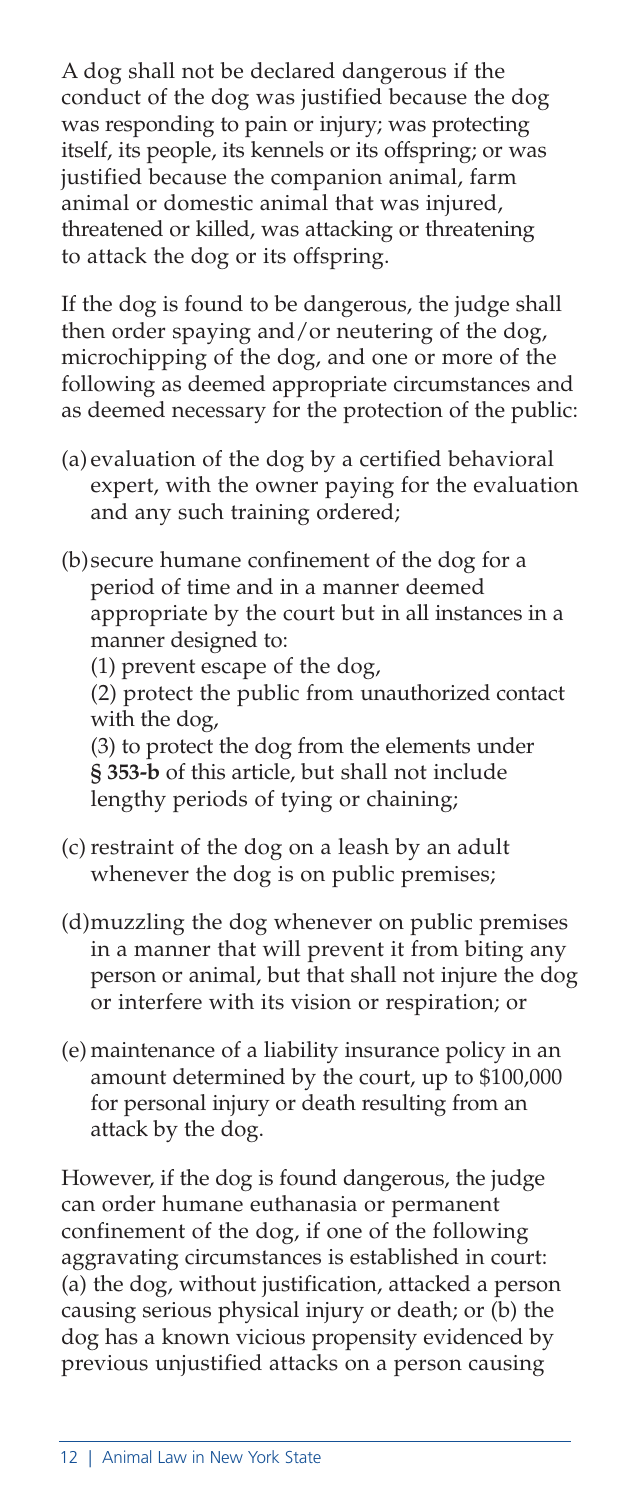A dog shall not be declared dangerous if the conduct of the dog was justified because the dog was responding to pain or injury; was protecting itself, its people, its kennels or its offspring; or was justified because the companion animal, farm animal or domestic animal that was injured, threatened or killed, was attacking or threatening to attack the dog or its offspring.

If the dog is found to be dangerous, the judge shall then order spaying and/or neutering of the dog, microchipping of the dog, and one or more of the following as deemed appropriate circumstances and as deemed necessary for the protection of the public:

(a) evaluation of the dog by a certified behavioral expert, with the owner paying for the evaluation and any such training ordered;

(b)secure humane confinement of the dog for a period of time and in a manner deemed appropriate by the court but in all instances in a manner designed to:

(1) prevent escape of the dog,

(2) protect the public from unauthorized contact with the dog,

(3) to protect the dog from the elements under **§ 353-b** of this article, but shall not include lengthy periods of tying or chaining;

- (c) restraint of the dog on a leash by an adult whenever the dog is on public premises;
- (d)muzzling the dog whenever on public premises in a manner that will prevent it from biting any person or animal, but that shall not injure the dog or interfere with its vision or respiration; or
- (e) maintenance of a liability insurance policy in an amount determined by the court, up to \$100,000 for personal injury or death resulting from an attack by the dog.

However, if the dog is found dangerous, the judge can order humane euthanasia or permanent confinement of the dog, if one of the following aggravating circumstances is established in court: (a) the dog, without justification, attacked a person causing serious physical injury or death; or (b) the dog has a known vicious propensity evidenced by previous unjustified attacks on a person causing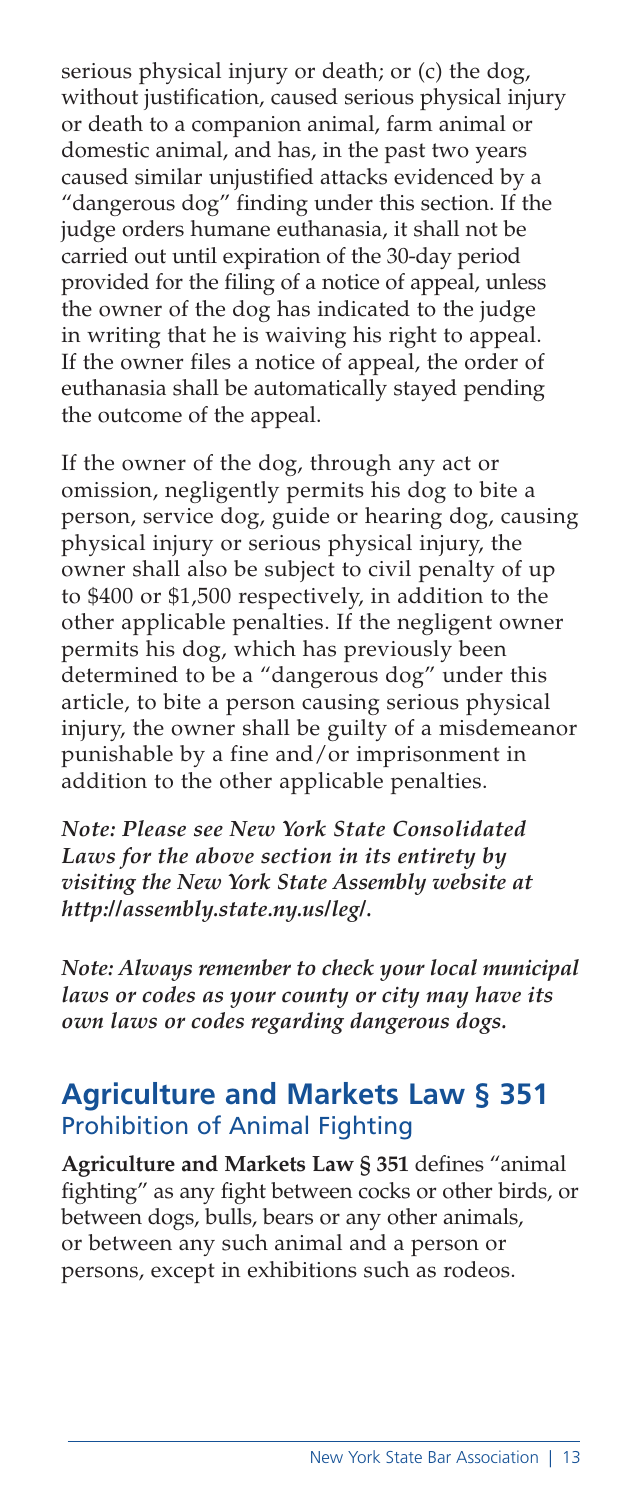serious physical injury or death; or (c) the dog, without justification, caused serious physical injury or death to a companion animal, farm animal or domestic animal, and has, in the past two years caused similar unjustified attacks evidenced by a "dangerous dog" finding under this section. If the judge orders humane euthanasia, it shall not be carried out until expiration of the 30-day period provided for the filing of a notice of appeal, unless the owner of the dog has indicated to the judge in writing that he is waiving his right to appeal. If the owner files a notice of appeal, the order of euthanasia shall be automatically stayed pending the outcome of the appeal.

If the owner of the dog, through any act or omission, negligently permits his dog to bite a person, service dog, guide or hearing dog, causing physical injury or serious physical injury, the owner shall also be subject to civil penalty of up to \$400 or \$1,500 respectively, in addition to the other applicable penalties. If the negligent owner permits his dog, which has previously been determined to be a "dangerous dog" under this article, to bite a person causing serious physical injury, the owner shall be guilty of a misdemeanor punishable by a fine and/or imprisonment in addition to the other applicable penalties.

*Note: Please see New York State Consolidated Laws for the above section in its entirety by visiting the New York State Assembly website at http://assembly.state.ny.us/leg/.* 

*Note: Always remember to check your local municipal laws or codes as your county or city may have its own laws or codes regarding dangerous dogs.* 

#### **Agriculture and Markets Law § 351**  Prohibition of Animal Fighting

**Agriculture and Markets Law § 351** defines "animal fighting" as any fight between cocks or other birds, or between dogs, bulls, bears or any other animals, or between any such animal and a person or persons, except in exhibitions such as rodeos.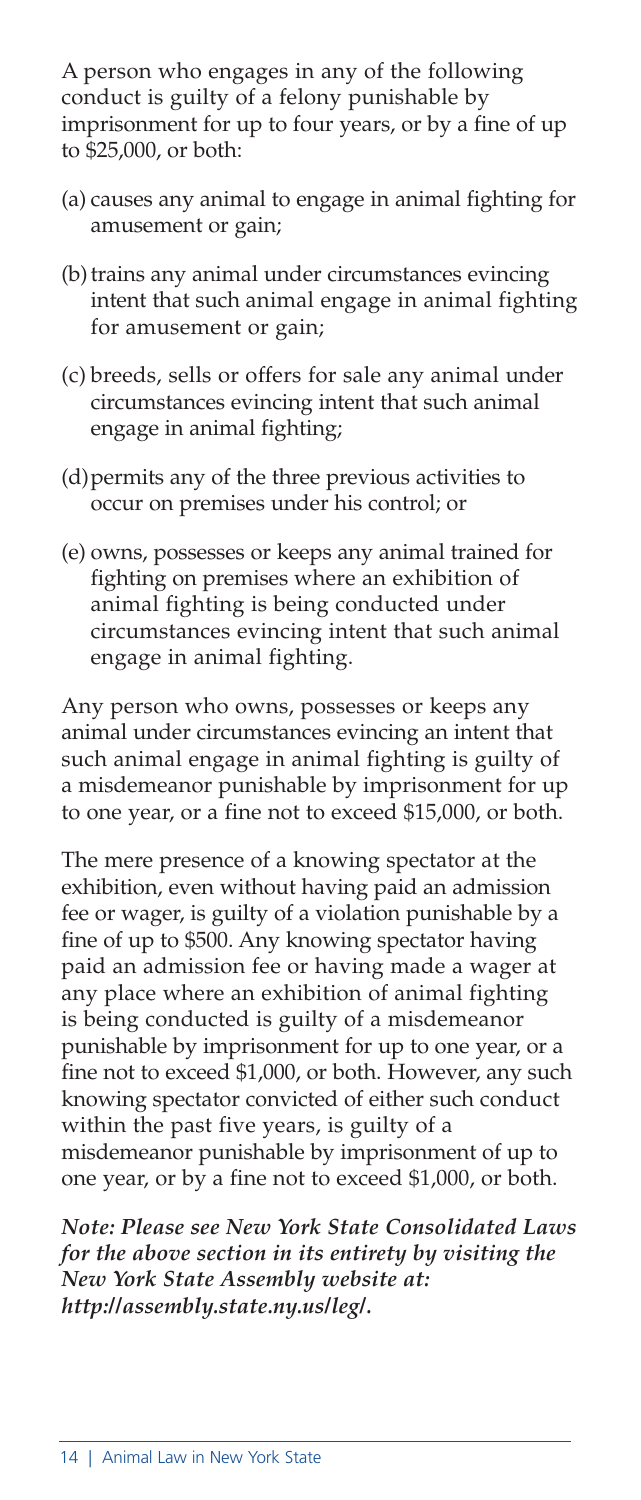A person who engages in any of the following conduct is guilty of a felony punishable by imprisonment for up to four years, or by a fine of up to \$25,000, or both:

- (a) causes any animal to engage in animal fighting for amusement or gain;
- (b) trains any animal under circumstances evincing intent that such animal engage in animal fighting for amusement or gain;
- (c) breeds, sells or offers for sale any animal under circumstances evincing intent that such animal engage in animal fighting;
- (d)permits any of the three previous activities to occur on premises under his control; or
- (e) owns, possesses or keeps any animal trained for fighting on premises where an exhibition of animal fighting is being conducted under circumstances evincing intent that such animal engage in animal fighting.

Any person who owns, possesses or keeps any animal under circumstances evincing an intent that such animal engage in animal fighting is guilty of a misdemeanor punishable by imprisonment for up to one year, or a fine not to exceed \$15,000, or both.

The mere presence of a knowing spectator at the exhibition, even without having paid an admission fee or wager, is guilty of a violation punishable by a fine of up to \$500. Any knowing spectator having paid an admission fee or having made a wager at any place where an exhibition of animal fighting is being conducted is guilty of a misdemeanor punishable by imprisonment for up to one year, or a fine not to exceed \$1,000, or both. However, any such knowing spectator convicted of either such conduct within the past five years, is guilty of a misdemeanor punishable by imprisonment of up to one year, or by a fine not to exceed \$1,000, or both.

*Note: Please see New York State Consolidated Laws for the above section in its entirety by visiting the New York State Assembly website at: http://assembly.state.ny.us/leg/.*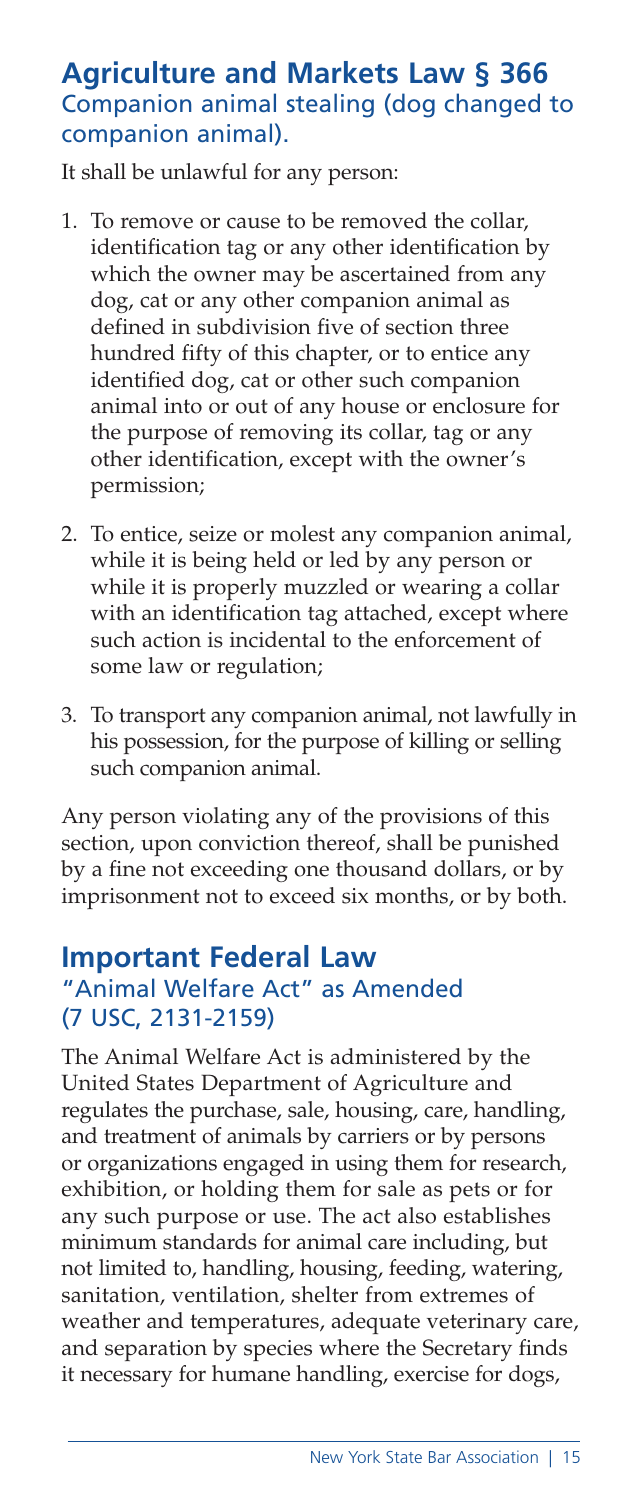#### **Agriculture and Markets Law § 366**  Companion animal stealing (dog changed to companion animal).

It shall be unlawful for any person:

- 1. To remove or cause to be removed the collar, identification tag or any other identification by which the owner may be ascertained from any dog, cat or any other companion animal as defined in subdivision five of section three hundred fifty of this chapter, or to entice any identified dog, cat or other such companion animal into or out of any house or enclosure for the purpose of removing its collar, tag or any other identification, except with the owner's permission;
- 2. To entice, seize or molest any companion animal, while it is being held or led by any person or while it is properly muzzled or wearing a collar with an identification tag attached, except where such action is incidental to the enforcement of some law or regulation;
- 3. To transport any companion animal, not lawfully in his possession, for the purpose of killing or selling such companion animal.

Any person violating any of the provisions of this section, upon conviction thereof, shall be punished by a fine not exceeding one thousand dollars, or by imprisonment not to exceed six months, or by both.

#### **Important Federal Law** "Animal Welfare Act" as Amended

# (7 USC, 2131-2159)

The Animal Welfare Act is administered by the United States Department of Agriculture and regulates the purchase, sale, housing, care, handling, and treatment of animals by carriers or by persons or organizations engaged in using them for research, exhibition, or holding them for sale as pets or for any such purpose or use. The act also establishes minimum standards for animal care including, but not limited to, handling, housing, feeding, watering, sanitation, ventilation, shelter from extremes of weather and temperatures, adequate veterinary care, and separation by species where the Secretary finds it necessary for humane handling, exercise for dogs,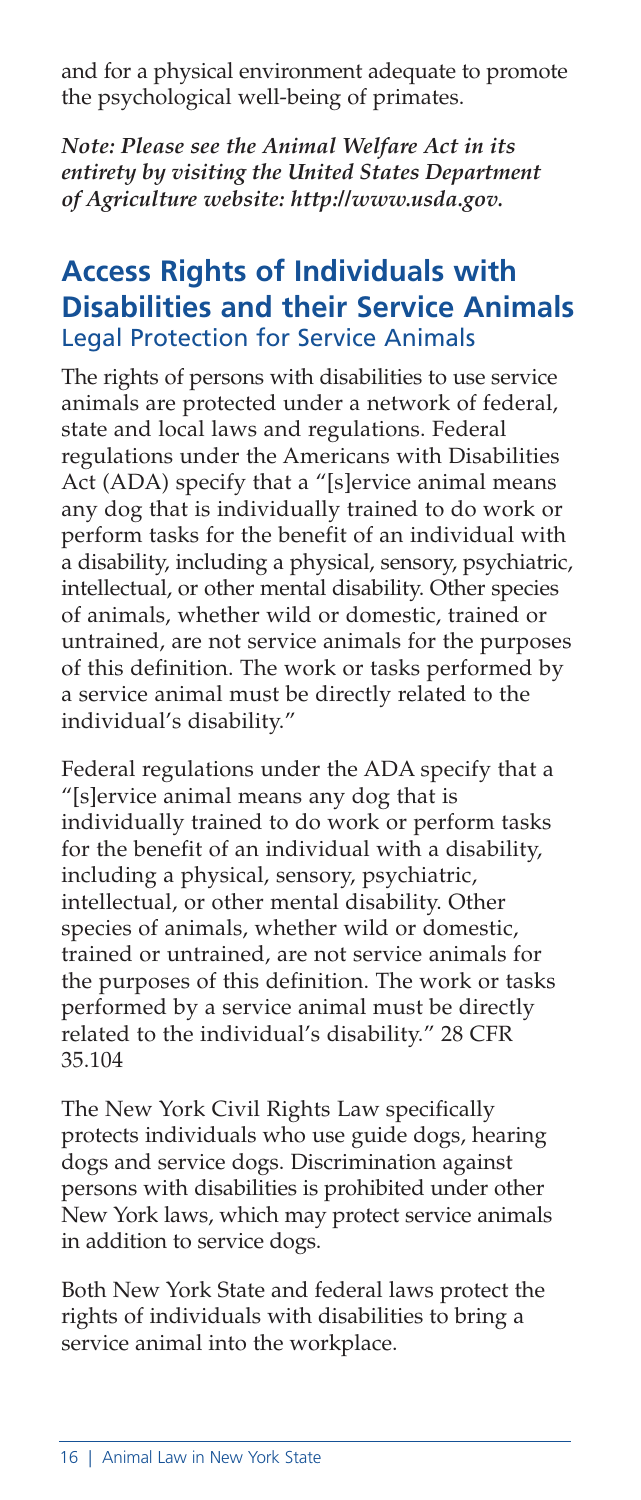and for a physical environment adequate to promote the psychological well-being of primates.

*Note: Please see the Animal Welfare Act in its entirety by visiting the United States Department of Agriculture website: http://www.usda.gov.*

## **Access Rights of Individuals with Disabilities and their Service Animals** Legal Protection for Service Animals

The rights of persons with disabilities to use service animals are protected under a network of federal, state and local laws and regulations. Federal regulations under the Americans with Disabilities Act (ADA) specify that a "[s]ervice animal means any dog that is individually trained to do work or perform tasks for the benefit of an individual with a disability, including a physical, sensory, psychiatric, intellectual, or other mental disability. Other species of animals, whether wild or domestic, trained or untrained, are not service animals for the purposes of this definition. The work or tasks performed by a service animal must be directly related to the individual's disability."

Federal regulations under the ADA specify that a "[s]ervice animal means any dog that is individually trained to do work or perform tasks for the benefit of an individual with a disability, including a physical, sensory, psychiatric, intellectual, or other mental disability. Other species of animals, whether wild or domestic, trained or untrained, are not service animals for the purposes of this definition. The work or tasks performed by a service animal must be directly related to the individual's disability." 28 CFR 35.104

The New York Civil Rights Law specifically protects individuals who use guide dogs, hearing dogs and service dogs. Discrimination against persons with disabilities is prohibited under other New York laws, which may protect service animals in addition to service dogs.

Both New York State and federal laws protect the rights of individuals with disabilities to bring a service animal into the workplace.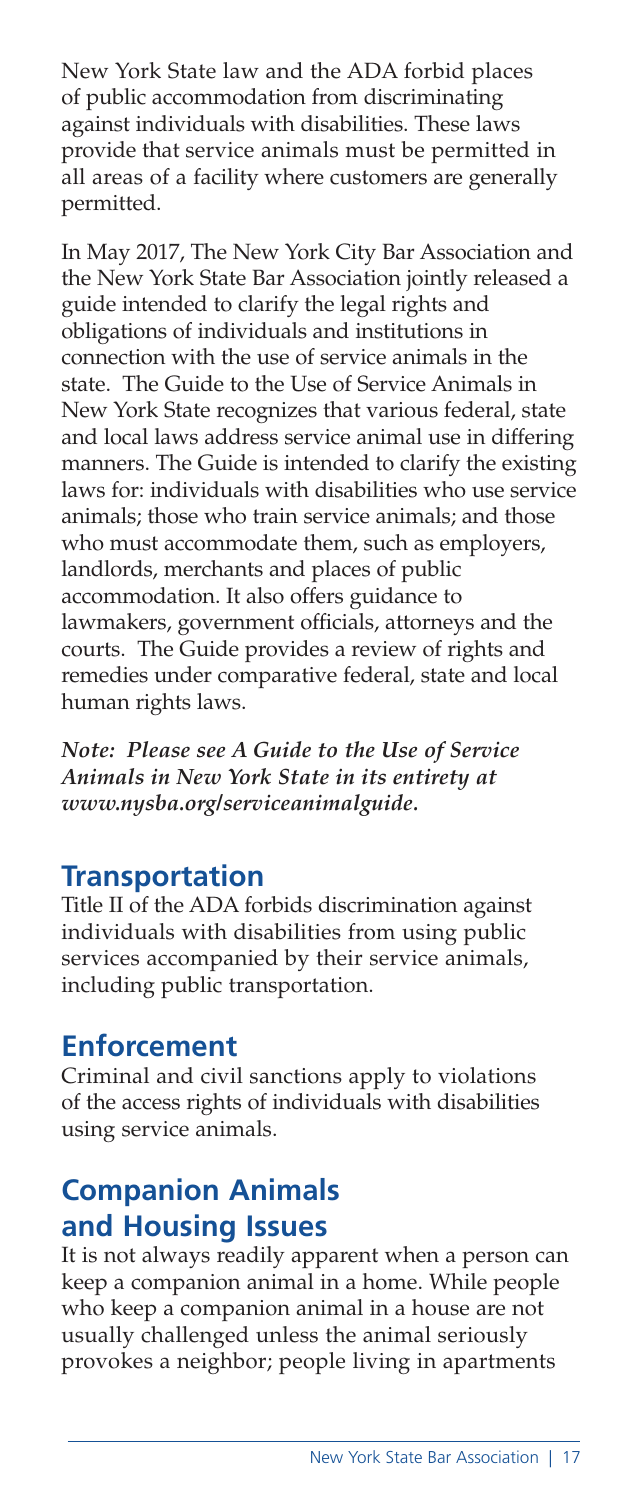New York State law and the ADA forbid places of public accommodation from discriminating against individuals with disabilities. These laws provide that service animals must be permitted in all areas of a facility where customers are generally permitted.

In May 2017, The New York City Bar Association and the New York State Bar Association jointly released a guide intended to clarify the legal rights and obligations of individuals and institutions in connection with the use of service animals in the state. The Guide to the Use of Service Animals in New York State recognizes that various federal, state and local laws address service animal use in differing manners. The Guide is intended to clarify the existing laws for: individuals with disabilities who use service animals; those who train service animals; and those who must accommodate them, such as employers, landlords, merchants and places of public accommodation. It also offers guidance to lawmakers, government officials, attorneys and the courts. The Guide provides a review of rights and remedies under comparative federal, state and local human rights laws.

*Note: Please see A Guide to the Use of Service Animals in New York State in its entirety at www.nysba.org/serviceanimalguide.*

## **Transportation**

Title II of the ADA forbids discrimination against individuals with disabilities from using public services accompanied by their service animals, including public transportation.

#### **Enforcement**

Criminal and civil sanctions apply to violations of the access rights of individuals with disabilities using service animals.

# **Companion Animals and Housing Issues**

It is not always readily apparent when a person can keep a companion animal in a home. While people who keep a companion animal in a house are not usually challenged unless the animal seriously provokes a neighbor; people living in apartments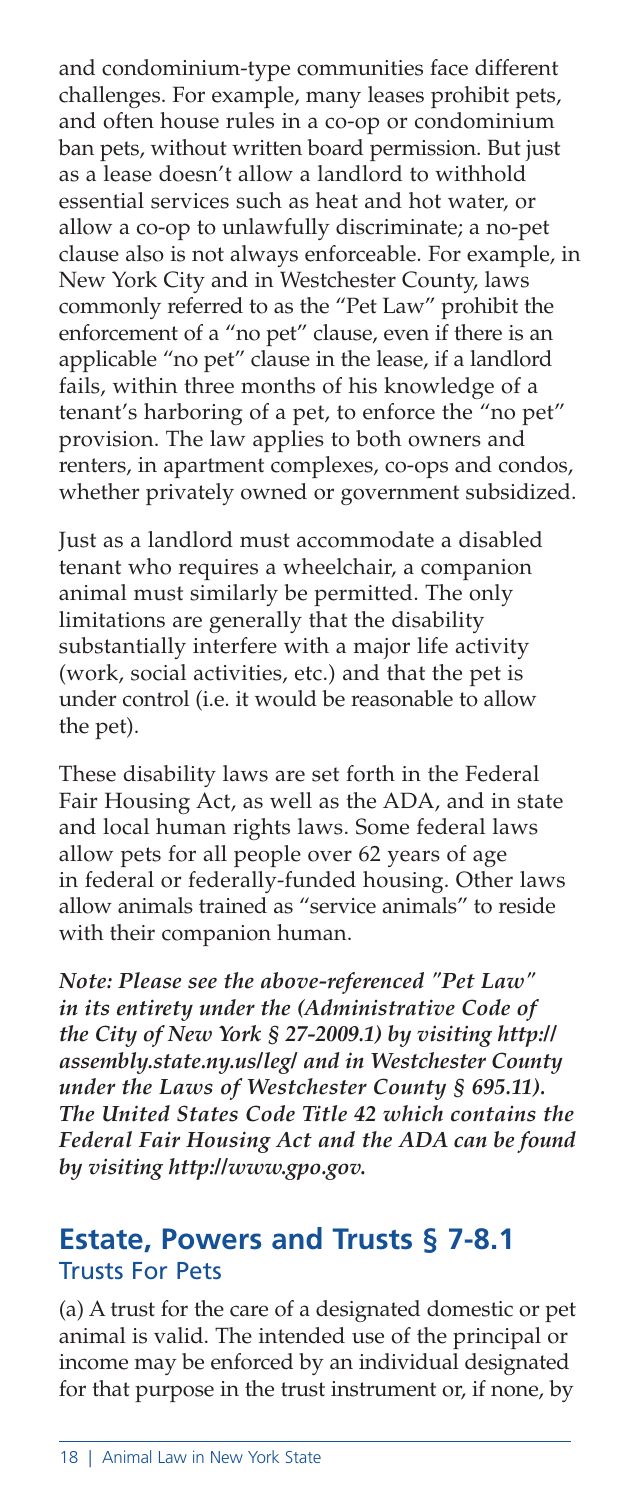and condominium-type communities face different challenges. For example, many leases prohibit pets, and often house rules in a co-op or condominium ban pets, without written board permission. But just as a lease doesn't allow a landlord to withhold essential services such as heat and hot water, or allow a co-op to unlawfully discriminate; a no-pet clause also is not always enforceable. For example, in New York City and in Westchester County, laws commonly referred to as the "Pet Law" prohibit the enforcement of a "no pet" clause, even if there is an applicable "no pet" clause in the lease, if a landlord fails, within three months of his knowledge of a tenant's harboring of a pet, to enforce the "no pet" provision. The law applies to both owners and renters, in apartment complexes, co-ops and condos, whether privately owned or government subsidized.

Just as a landlord must accommodate a disabled tenant who requires a wheelchair, a companion animal must similarly be permitted. The only limitations are generally that the disability substantially interfere with a major life activity (work, social activities, etc.) and that the pet is under control (i.e. it would be reasonable to allow the pet).

These disability laws are set forth in the Federal Fair Housing Act, as well as the ADA, and in state and local human rights laws. Some federal laws allow pets for all people over 62 years of age in federal or federally-funded housing. Other laws allow animals trained as "service animals" to reside with their companion human.

*Note: Please see the above-referenced "Pet Law" in its entirety under the (Administrative Code of the City of New York § 27-2009.1) by visiting http:// assembly.state.ny.us/leg/ and in Westchester County under the Laws of Westchester County § 695.11). The United States Code Title 42 which contains the Federal Fair Housing Act and the ADA can be found by visiting http://www.gpo.gov.*

#### **Estate, Powers and Trusts § 7-8.1** Trusts For Pets

(a) A trust for the care of a designated domestic or pet animal is valid. The intended use of the principal or income may be enforced by an individual designated for that purpose in the trust instrument or, if none, by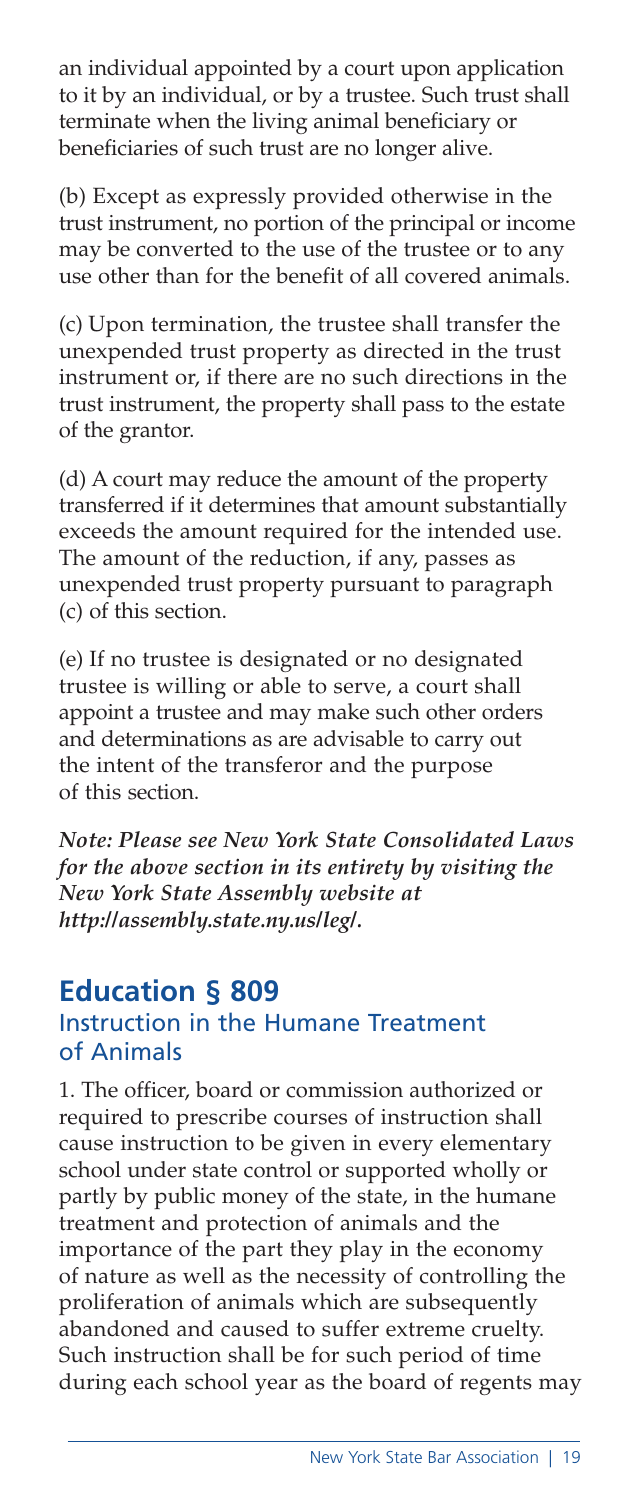an individual appointed by a court upon application to it by an individual, or by a trustee. Such trust shall terminate when the living animal beneficiary or beneficiaries of such trust are no longer alive.

(b) Except as expressly provided otherwise in the trust instrument, no portion of the principal or income may be converted to the use of the trustee or to any use other than for the benefit of all covered animals.

(c) Upon termination, the trustee shall transfer the unexpended trust property as directed in the trust instrument or, if there are no such directions in the trust instrument, the property shall pass to the estate of the grantor.

(d) A court may reduce the amount of the property transferred if it determines that amount substantially exceeds the amount required for the intended use. The amount of the reduction, if any, passes as unexpended trust property pursuant to paragraph (c) of this section.

(e) If no trustee is designated or no designated trustee is willing or able to serve, a court shall appoint a trustee and may make such other orders and determinations as are advisable to carry out the intent of the transferor and the purpose of this section.

*Note: Please see New York State Consolidated Laws for the above section in its entirety by visiting the New York State Assembly website at http://assembly.state.ny.us/leg/.*

#### **Education § 809** Instruction in the Humane Treatment of Animals

1. The officer, board or commission authorized or required to prescribe courses of instruction shall cause instruction to be given in every elementary school under state control or supported wholly or partly by public money of the state, in the humane treatment and protection of animals and the importance of the part they play in the economy of nature as well as the necessity of controlling the proliferation of animals which are subsequently abandoned and caused to suffer extreme cruelty. Such instruction shall be for such period of time during each school year as the board of regents may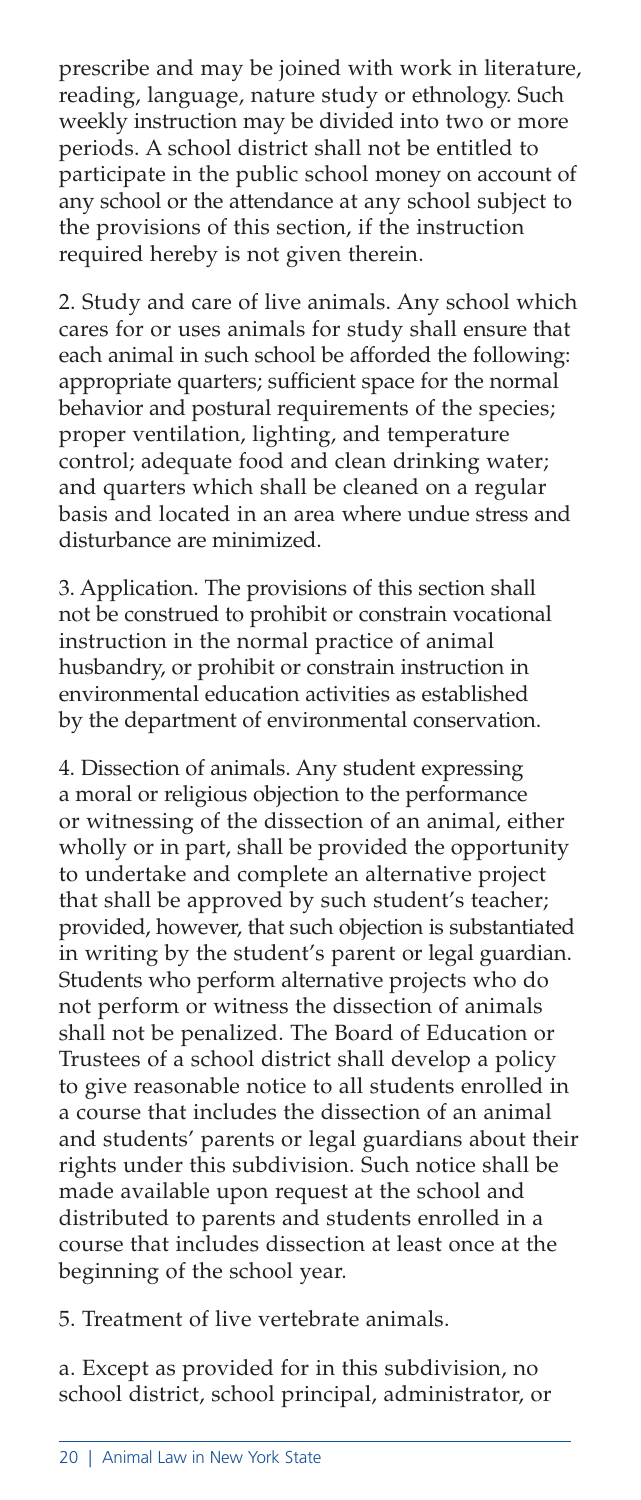prescribe and may be joined with work in literature, reading, language, nature study or ethnology. Such weekly instruction may be divided into two or more periods. A school district shall not be entitled to participate in the public school money on account of any school or the attendance at any school subject to the provisions of this section, if the instruction required hereby is not given therein.

2. Study and care of live animals. Any school which cares for or uses animals for study shall ensure that each animal in such school be afforded the following: appropriate quarters; sufficient space for the normal behavior and postural requirements of the species; proper ventilation, lighting, and temperature control; adequate food and clean drinking water; and quarters which shall be cleaned on a regular basis and located in an area where undue stress and disturbance are minimized.

3. Application. The provisions of this section shall not be construed to prohibit or constrain vocational instruction in the normal practice of animal husbandry, or prohibit or constrain instruction in environmental education activities as established by the department of environmental conservation.

4. Dissection of animals. Any student expressing a moral or religious objection to the performance or witnessing of the dissection of an animal, either wholly or in part, shall be provided the opportunity to undertake and complete an alternative project that shall be approved by such student's teacher; provided, however, that such objection is substantiated in writing by the student's parent or legal guardian. Students who perform alternative projects who do not perform or witness the dissection of animals shall not be penalized. The Board of Education or Trustees of a school district shall develop a policy to give reasonable notice to all students enrolled in a course that includes the dissection of an animal and students' parents or legal guardians about their rights under this subdivision. Such notice shall be made available upon request at the school and distributed to parents and students enrolled in a course that includes dissection at least once at the beginning of the school year.

5. Treatment of live vertebrate animals.

a. Except as provided for in this subdivision, no school district, school principal, administrator, or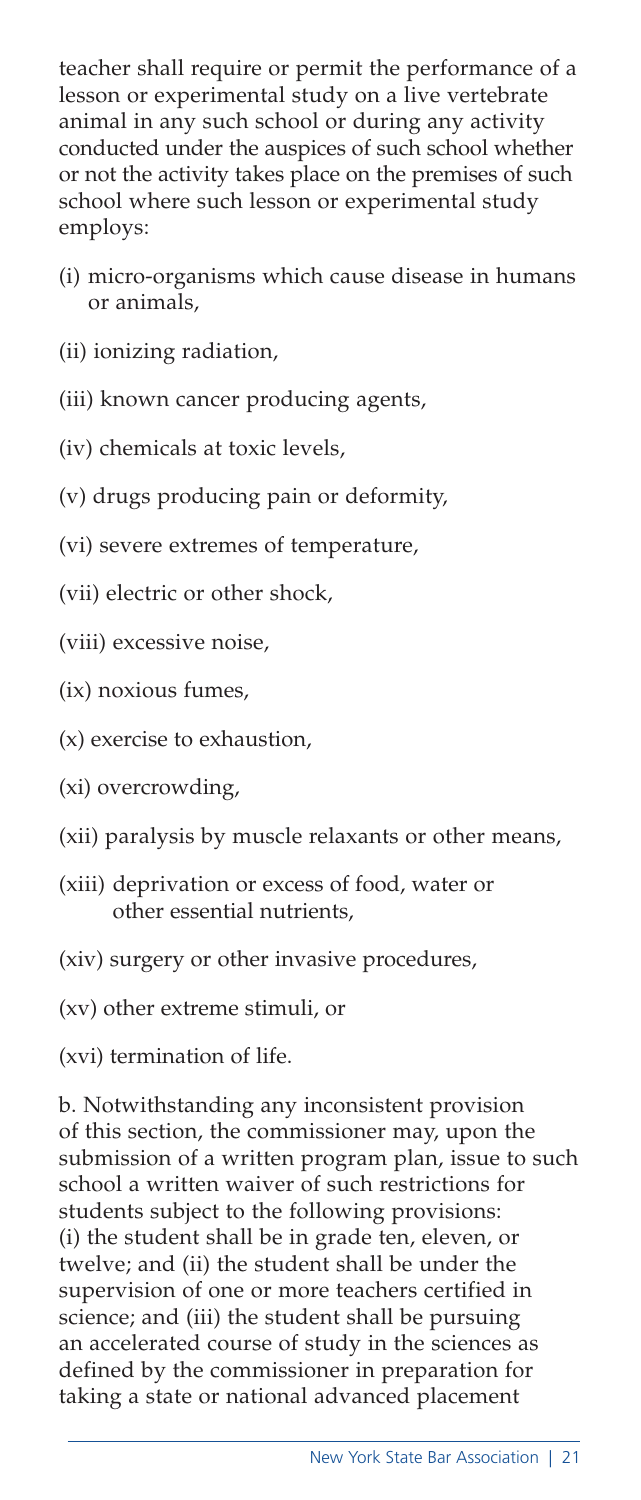teacher shall require or permit the performance of a lesson or experimental study on a live vertebrate animal in any such school or during any activity conducted under the auspices of such school whether or not the activity takes place on the premises of such school where such lesson or experimental study employs:

- (i) micro-organisms which cause disease in humans or animals,
- (ii) ionizing radiation,
- (iii) known cancer producing agents,
- (iv) chemicals at toxic levels,
- (v) drugs producing pain or deformity,
- (vi) severe extremes of temperature,
- (vii) electric or other shock,
- (viii) excessive noise,
- (ix) noxious fumes,
- (x) exercise to exhaustion,
- (xi) overcrowding,
- (xii) paralysis by muscle relaxants or other means,
- (xiii) deprivation or excess of food, water or other essential nutrients,
- (xiv) surgery or other invasive procedures,
- (xv) other extreme stimuli, or

(xvi) termination of life.

b. Notwithstanding any inconsistent provision of this section, the commissioner may, upon the submission of a written program plan, issue to such school a written waiver of such restrictions for students subject to the following provisions: (i) the student shall be in grade ten, eleven, or twelve; and (ii) the student shall be under the supervision of one or more teachers certified in science; and (iii) the student shall be pursuing an accelerated course of study in the sciences as defined by the commissioner in preparation for taking a state or national advanced placement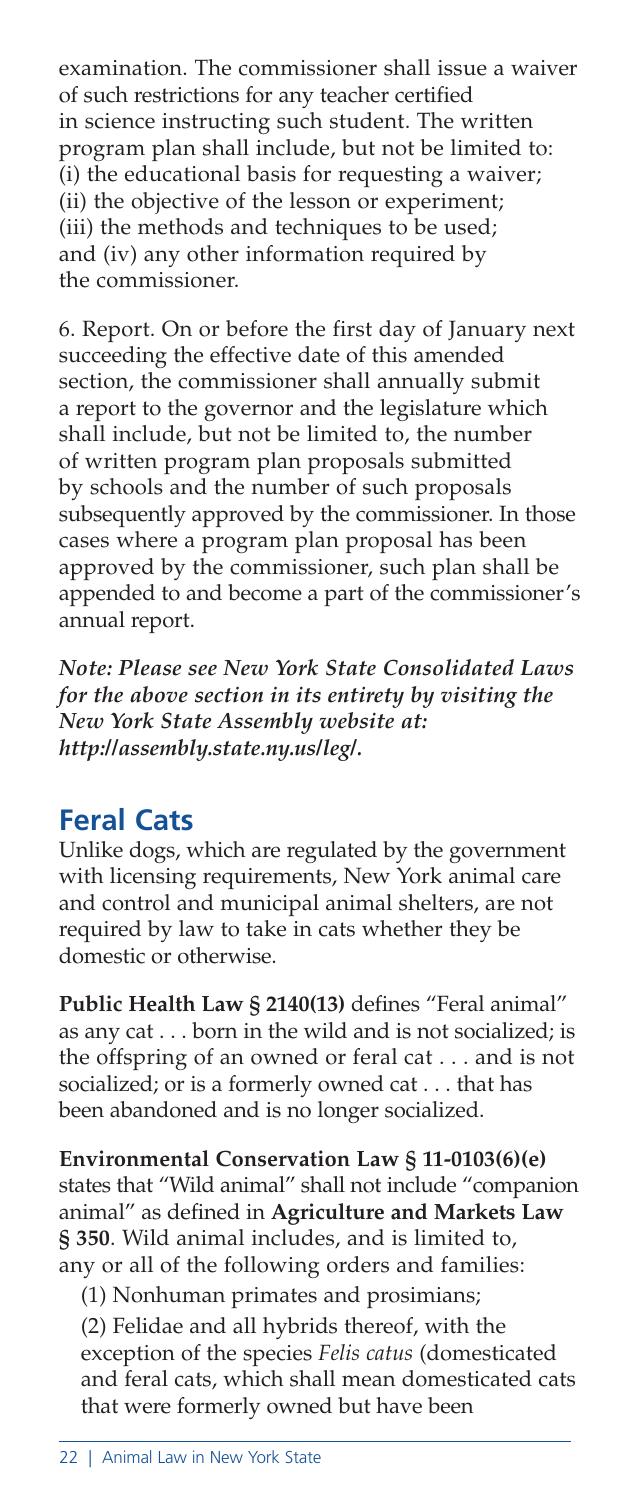examination. The commissioner shall issue a waiver of such restrictions for any teacher certified in science instructing such student. The written program plan shall include, but not be limited to: (i) the educational basis for requesting a waiver; (ii) the objective of the lesson or experiment; (iii) the methods and techniques to be used; and (iv) any other information required by the commissioner.

6. Report. On or before the first day of January next succeeding the effective date of this amended section, the commissioner shall annually submit a report to the governor and the legislature which shall include, but not be limited to, the number of written program plan proposals submitted by schools and the number of such proposals subsequently approved by the commissioner. In those cases where a program plan proposal has been approved by the commissioner, such plan shall be appended to and become a part of the commissioner's annual report.

*Note: Please see New York State Consolidated Laws for the above section in its entirety by visiting the New York State Assembly website at: http://assembly.state.ny.us/leg/.*

## **Feral Cats**

Unlike dogs, which are regulated by the government with licensing requirements, New York animal care and control and municipal animal shelters, are not required by law to take in cats whether they be domestic or otherwise.

**Public Health Law § 2140(13)** defines "Feral animal" as any cat . . . born in the wild and is not socialized; is the offspring of an owned or feral cat . . . and is not socialized; or is a formerly owned cat . . . that has been abandoned and is no longer socialized.

**Environmental Conservation Law § 11-0103(6)(e)** states that "Wild animal" shall not include "companion animal" as defined in **Agriculture and Markets Law § 350**. Wild animal includes, and is limited to, any or all of the following orders and families:

(1) Nonhuman primates and prosimians;

(2) Felidae and all hybrids thereof, with the exception of the species *Felis catus* (domesticated and feral cats, which shall mean domesticated cats that were formerly owned but have been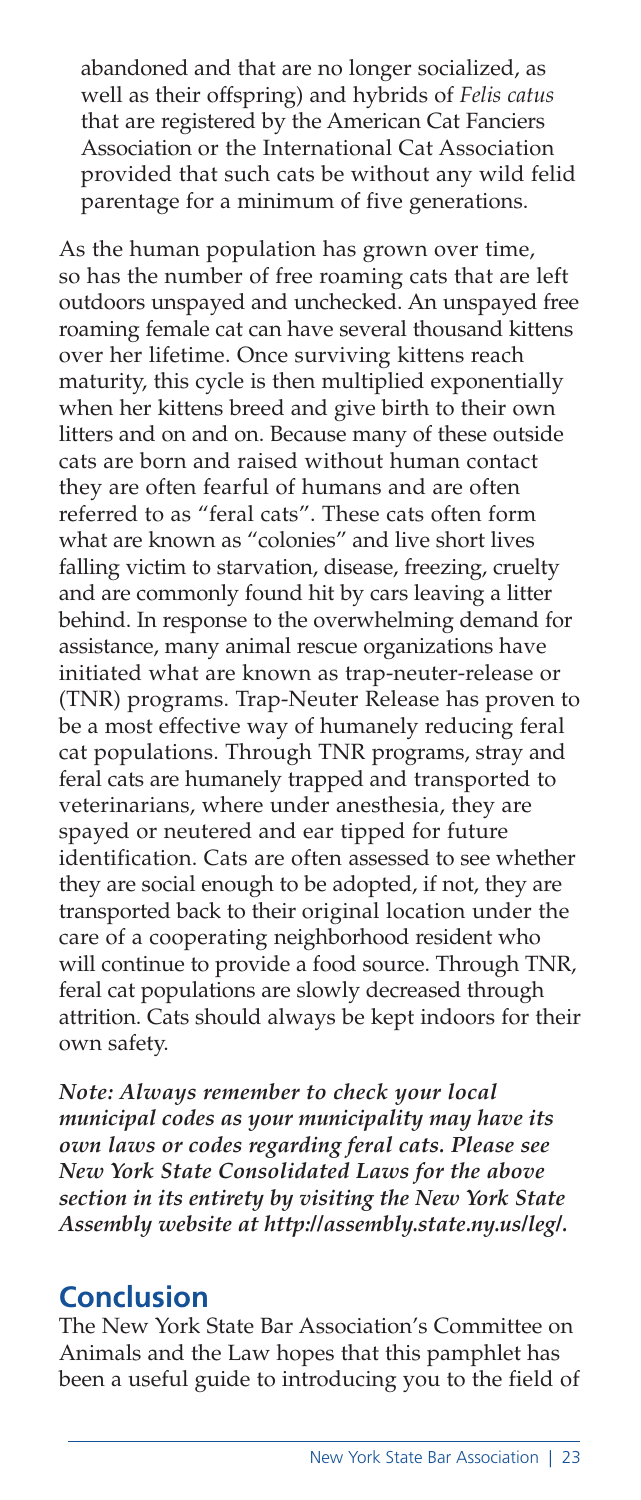abandoned and that are no longer socialized, as well as their offspring) and hybrids of *Felis catus* that are registered by the American Cat Fanciers Association or the International Cat Association provided that such cats be without any wild felid parentage for a minimum of five generations.

As the human population has grown over time, so has the number of free roaming cats that are left outdoors unspayed and unchecked. An unspayed free roaming female cat can have several thousand kittens over her lifetime. Once surviving kittens reach maturity, this cycle is then multiplied exponentially when her kittens breed and give birth to their own litters and on and on. Because many of these outside cats are born and raised without human contact they are often fearful of humans and are often referred to as "feral cats". These cats often form what are known as "colonies" and live short lives falling victim to starvation, disease, freezing, cruelty and are commonly found hit by cars leaving a litter behind. In response to the overwhelming demand for assistance, many animal rescue organizations have initiated what are known as trap-neuter-release or (TNR) programs. Trap-Neuter Release has proven to be a most effective way of humanely reducing feral cat populations. Through TNR programs, stray and feral cats are humanely trapped and transported to veterinarians, where under anesthesia, they are spayed or neutered and ear tipped for future identification. Cats are often assessed to see whether they are social enough to be adopted, if not, they are transported back to their original location under the care of a cooperating neighborhood resident who will continue to provide a food source. Through TNR, feral cat populations are slowly decreased through attrition. Cats should always be kept indoors for their own safety.

*Note: Always remember to check your local municipal codes as your municipality may have its own laws or codes regarding feral cats. Please see New York State Consolidated Laws for the above section in its entirety by visiting the New York State Assembly website at http://assembly.state.ny.us/leg/.*

## **Conclusion**

The New York State Bar Association's Committee on Animals and the Law hopes that this pamphlet has been a useful guide to introducing you to the field of